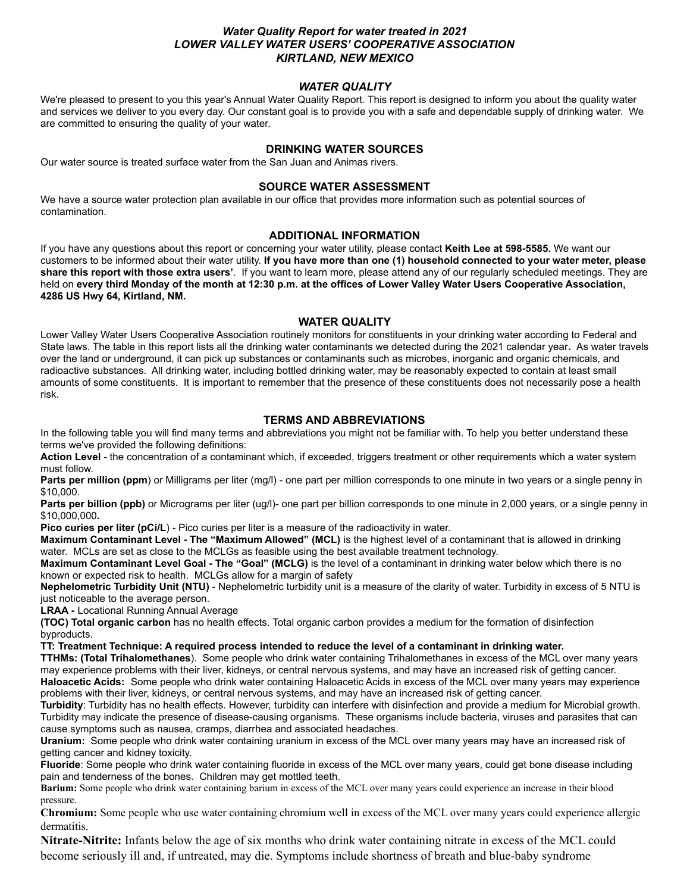# *Water Quality Report for water treated in 2021 LOWER VALLEY WATER USERS' COOPERATIVE ASSOCIATION KIRTLAND, NEW MEXICO*

### *WATER QUALITY*

We're pleased to present to you this year's Annual Water Quality Report. This report is designed to inform you about the quality water and services we deliver to you every day. Our constant goal is to provide you with a safe and dependable supply of drinking water. We are committed to ensuring the quality of your water.

## **DRINKING WATER SOURCES**

Our water source is treated surface water from the San Juan and Animas rivers.

#### **SOURCE WATER ASSESSMENT**

We have a source water protection plan available in our office that provides more information such as potential sources of contamination.

#### **ADDITIONAL INFORMATION**

If you have any questions about this report or concerning your water utility, please contact **Keith Lee at 598-5585.** We want our customers to be informed about their water utility. **If you have more than one (1) household connected to your water meter, please share this report with those extra users'**. If you want to learn more, please attend any of our regularly scheduled meetings. They are held on **every third Monday of the month at 12:30 p.m. at the offices of Lower Valley Water Users Cooperative Association, 4286 US Hwy 64, Kirtland, NM.**

#### **WATER QUALITY**

Lower Valley Water Users Cooperative Association routinely monitors for constituents in your drinking water according to Federal and State laws. The table in this report lists all the drinking water contaminants we detected during the 2021 calendar year**.** As water travels over the land or underground, it can pick up substances or contaminants such as microbes, inorganic and organic chemicals, and radioactive substances. All drinking water, including bottled drinking water, may be reasonably expected to contain at least small amounts of some constituents. It is important to remember that the presence of these constituents does not necessarily pose a health risk.

#### **TERMS AND ABBREVIATIONS**

In the following table you will find many terms and abbreviations you might not be familiar with. To help you better understand these terms we've provided the following definitions:

**Action Level** - the concentration of a contaminant which, if exceeded, triggers treatment or other requirements which a water system must follow.

**Parts per million (ppm**) or Milligrams per liter (mg/l) - one part per million corresponds to one minute in two years or a single penny in \$10,000.

**Parts per billion (ppb)** or Micrograms per liter (ug/l)- one part per billion corresponds to one minute in 2,000 years, or a single penny in \$10,000,000**.**

**Pico curies per liter (pCi/L)** - Pico curies per liter is a measure of the radioactivity in water.

**Maximum Contaminant Level - The "Maximum Allowed" (MCL)** is the highest level of a contaminant that is allowed in drinking water. MCLs are set as close to the MCLGs as feasible using the best available treatment technology.

**Maximum Contaminant Level Goal - The "Goal" (MCLG)** is the level of a contaminant in drinking water below which there is no known or expected risk to health. MCLGs allow for a margin of safety

**Nephelometric Turbidity Unit (NTU)** - Nephelometric turbidity unit is a measure of the clarity of water. Turbidity in excess of 5 NTU is just noticeable to the average person.

**LRAA -** Locational Running Annual Average

**(TOC) Total organic carbon** has no health effects. Total organic carbon provides a medium for the formation of disinfection byproducts.

**TT: Treatment Technique: A required process intended to reduce the level of a contaminant in drinking water.**

**TTHMs: (Total Trihalomethanes**). Some people who drink water containing Trihalomethanes in excess of the MCL over many years may experience problems with their liver, kidneys, or central nervous systems, and may have an increased risk of getting cancer. **Haloacetic Acids:** Some people who drink water containing Haloacetic Acids in excess of the MCL over many years may experience

problems with their liver, kidneys, or central nervous systems, and may have an increased risk of getting cancer. **Turbidity**: Turbidity has no health effects. However, turbidity can interfere with disinfection and provide a medium for Microbial growth. Turbidity may indicate the presence of disease-causing organisms. These organisms include bacteria, viruses and parasites that can cause symptoms such as nausea, cramps, diarrhea and associated headaches.

**Uranium:** Some people who drink water containing uranium in excess of the MCL over many years may have an increased risk of getting cancer and kidney toxicity.

**Fluoride**: Some people who drink water containing fluoride in excess of the MCL over many years, could get bone disease including pain and tenderness of the bones. Children may get mottled teeth.

**Barium:** Some people who drink water containing barium in excess of the MCL over many years could experience an increase in their blood pressure.

**Chromium:** Some people who use water containing chromium well in excess of the MCL over many years could experience allergic dermatitis.

**Nitrate-Nitrite:** Infants below the age of six months who drink water containing nitrate in excess of the MCL could become seriously ill and, if untreated, may die. Symptoms include shortness of breath and blue-baby syndrome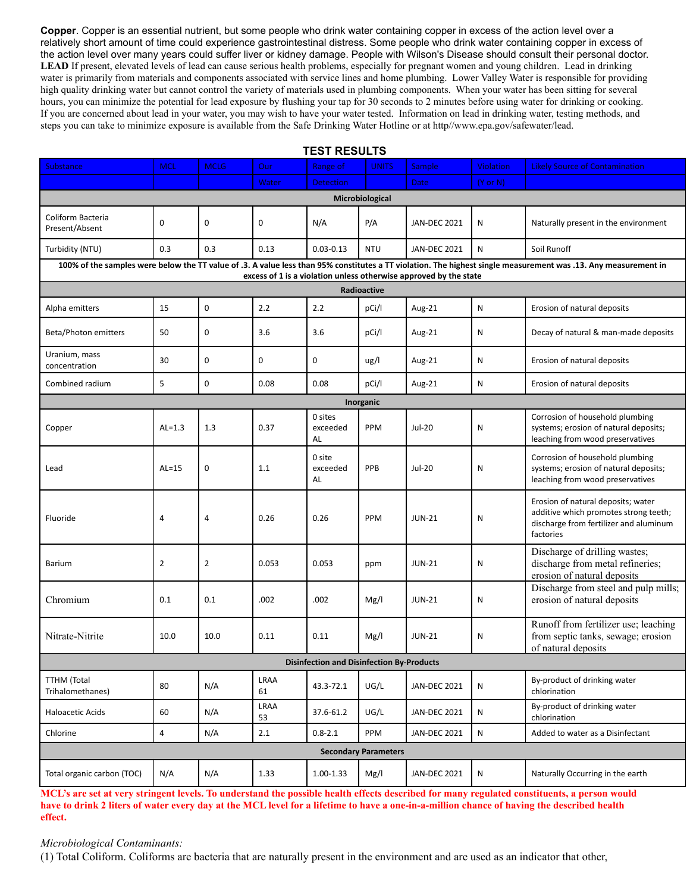**Copper**. Copper is an essential nutrient, but some people who drink water containing copper in excess of the action level over a relatively short amount of time could experience gastrointestinal distress. Some people who drink water containing copper in excess of the action level over many years could suffer liver or kidney damage. People with Wilson's Disease should consult their personal doctor. LEAD If present, elevated levels of lead can cause serious health problems, especially for pregnant women and young children. Lead in drinking water is primarily from materials and components associated with service lines and home plumbing. Lower Valley Water is responsible for providing high quality drinking water but cannot control the variety of materials used in plumbing components. When your water has been sitting for several hours, you can minimize the potential for lead exposure by flushing your tap for 30 seconds to 2 minutes before using water for drinking or cooking. If you are concerned about lead in your water, you may wish to have your water tested. Information on lead in drinking water, testing methods, and steps you can take to minimize exposure is available from the Safe Drinking Water Hotline or at http//www.epa.gov/safewater/lead.

| <b>TEST RESULTS</b>                                                              |                |                |             |                                                  |              |                     |                     |                                                                                                                                                                 |
|----------------------------------------------------------------------------------|----------------|----------------|-------------|--------------------------------------------------|--------------|---------------------|---------------------|-----------------------------------------------------------------------------------------------------------------------------------------------------------------|
| <b>Substance</b>                                                                 | <b>MCL</b>     | <b>MCLG</b>    | Our         | Range of                                         | <b>UNITS</b> | Sample              | <b>Violation</b>    | <b>Likely Source of Contamination</b>                                                                                                                           |
|                                                                                  |                |                | Water       | <b>Detection</b>                                 |              | <b>Date</b>         | $(Y \text{ or } N)$ |                                                                                                                                                                 |
| Microbiological                                                                  |                |                |             |                                                  |              |                     |                     |                                                                                                                                                                 |
| Coliform Bacteria<br>Present/Absent                                              | $\mathbf 0$    | 0              | 0           | N/A                                              | P/A          | <b>JAN-DEC 2021</b> | N                   | Naturally present in the environment                                                                                                                            |
| Turbidity (NTU)                                                                  | 0.3            | 0.3            | 0.13        | $0.03 - 0.13$                                    | <b>NTU</b>   | <b>JAN-DEC 2021</b> | N                   | Soil Runoff                                                                                                                                                     |
|                                                                                  |                |                |             |                                                  |              |                     |                     | 100% of the samples were below the TT value of .3. A value less than 95% constitutes a TT violation. The highest single measurement was .13. Any measurement in |
| excess of 1 is a violation unless otherwise approved by the state<br>Radioactive |                |                |             |                                                  |              |                     |                     |                                                                                                                                                                 |
| Alpha emitters                                                                   | 15             | 0              | 2.2         | 2.2                                              | pCi/l        | Aug-21              | ${\sf N}$           | Erosion of natural deposits                                                                                                                                     |
| Beta/Photon emitters                                                             | 50             | 0              | 3.6         | 3.6                                              | pCi/l        | Aug-21              | N                   | Decay of natural & man-made deposits                                                                                                                            |
| Uranium, mass<br>concentration                                                   | 30             | $\mathbf 0$    | $\mathbf 0$ | 0                                                | ug/l         | Aug-21              | ${\sf N}$           | Erosion of natural deposits                                                                                                                                     |
| Combined radium                                                                  | 5              | $\mathbf 0$    | 0.08        | 0.08                                             | pCi/l        | Aug-21              | N                   | Erosion of natural deposits                                                                                                                                     |
| Inorganic                                                                        |                |                |             |                                                  |              |                     |                     |                                                                                                                                                                 |
| Copper                                                                           | $AL=1.3$       | 1.3            | 0.37        | 0 sites<br>exceeded<br>AL                        | PPM          | <b>Jul-20</b>       | N                   | Corrosion of household plumbing<br>systems; erosion of natural deposits;<br>leaching from wood preservatives                                                    |
| Lead                                                                             | $AL=15$        | 0              | 1.1         | 0 site<br>exceeded<br>AL                         | PPB          | <b>Jul-20</b>       | N                   | Corrosion of household plumbing<br>systems; erosion of natural deposits;<br>leaching from wood preservatives                                                    |
| Fluoride                                                                         | 4              | 4              | 0.26        | 0.26                                             | PPM          | <b>JUN-21</b>       | N                   | Erosion of natural deposits; water<br>additive which promotes strong teeth;<br>discharge from fertilizer and aluminum<br>factories                              |
| <b>Barium</b>                                                                    | $\overline{2}$ | $\overline{2}$ | 0.053       | 0.053                                            | ppm          | <b>JUN-21</b>       | N                   | Discharge of drilling wastes;<br>discharge from metal refineries;<br>erosion of natural deposits                                                                |
| Chromium                                                                         | 0.1            | 0.1            | .002        | .002                                             | Mg/l         | <b>JUN-21</b>       | N                   | Discharge from steel and pulp mills;<br>erosion of natural deposits                                                                                             |
| Nitrate-Nitrite                                                                  | 10.0           | 10.0           | 0.11        | 0.11                                             | Mg/l         | <b>JUN-21</b>       | N                   | Runoff from fertilizer use; leaching<br>from septic tanks, sewage; erosion<br>of natural deposits                                                               |
|                                                                                  |                |                |             | <b>Disinfection and Disinfection By-Products</b> |              |                     |                     |                                                                                                                                                                 |
| <b>TTHM (Total</b><br>Trihalomethanes)                                           | 80             | N/A            | LRAA<br>61  | 43.3-72.1                                        | UG/L         | <b>JAN-DEC 2021</b> | $\mathsf{N}$        | By-product of drinking water<br>chlorination                                                                                                                    |
| Haloacetic Acids                                                                 | 60             | N/A            | LRAA<br>53  | 37.6-61.2                                        | UG/L         | <b>JAN-DEC 2021</b> | N                   | By-product of drinking water<br>chlorination                                                                                                                    |
| Chlorine                                                                         | $\overline{4}$ | N/A            | 2.1         | $0.8 - 2.1$                                      | PPM          | <b>JAN-DEC 2021</b> | ${\sf N}$           | Added to water as a Disinfectant                                                                                                                                |
| <b>Secondary Parameters</b>                                                      |                |                |             |                                                  |              |                     |                     |                                                                                                                                                                 |
| Total organic carbon (TOC)                                                       | N/A            | N/A            | 1.33        | 1.00-1.33                                        | Mg/I         | <b>JAN-DEC 2021</b> | $\mathsf{N}$        | Naturally Occurring in the earth                                                                                                                                |

**MCL's are set at very stringent levels. To understand the possible health effects described for many regulated constituents, a person would have to drink 2 liters of water every day at the MCL level for a lifetime to have a one-in-a-million chance of having the described health effect.**

### *Microbiological Contaminants:*

(1) Total Coliform. Coliforms are bacteria that are naturally present in the environment and are used as an indicator that other,